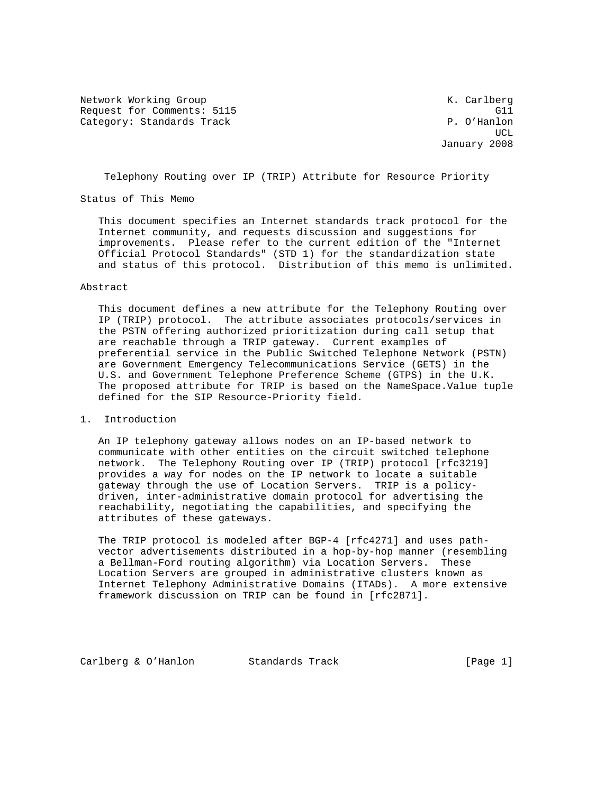Network Working Group Network Working Group Network K. Carlberg Request for Comments: 5115 G11<br>Category: Standards Track G11 G11 G11 G11 D. O'Hanlon Category: Standards Track

 $UCL$ January 2008

Telephony Routing over IP (TRIP) Attribute for Resource Priority

Status of This Memo

 This document specifies an Internet standards track protocol for the Internet community, and requests discussion and suggestions for improvements. Please refer to the current edition of the "Internet Official Protocol Standards" (STD 1) for the standardization state and status of this protocol. Distribution of this memo is unlimited.

#### Abstract

 This document defines a new attribute for the Telephony Routing over IP (TRIP) protocol. The attribute associates protocols/services in the PSTN offering authorized prioritization during call setup that are reachable through a TRIP gateway. Current examples of preferential service in the Public Switched Telephone Network (PSTN) are Government Emergency Telecommunications Service (GETS) in the U.S. and Government Telephone Preference Scheme (GTPS) in the U.K. The proposed attribute for TRIP is based on the NameSpace.Value tuple defined for the SIP Resource-Priority field.

#### 1. Introduction

 An IP telephony gateway allows nodes on an IP-based network to communicate with other entities on the circuit switched telephone network. The Telephony Routing over IP (TRIP) protocol [rfc3219] provides a way for nodes on the IP network to locate a suitable gateway through the use of Location Servers. TRIP is a policy driven, inter-administrative domain protocol for advertising the reachability, negotiating the capabilities, and specifying the attributes of these gateways.

 The TRIP protocol is modeled after BGP-4 [rfc4271] and uses path vector advertisements distributed in a hop-by-hop manner (resembling a Bellman-Ford routing algorithm) via Location Servers. These Location Servers are grouped in administrative clusters known as Internet Telephony Administrative Domains (ITADs). A more extensive framework discussion on TRIP can be found in [rfc2871].

Carlberg & O'Hanlon Standards Track [Page 1]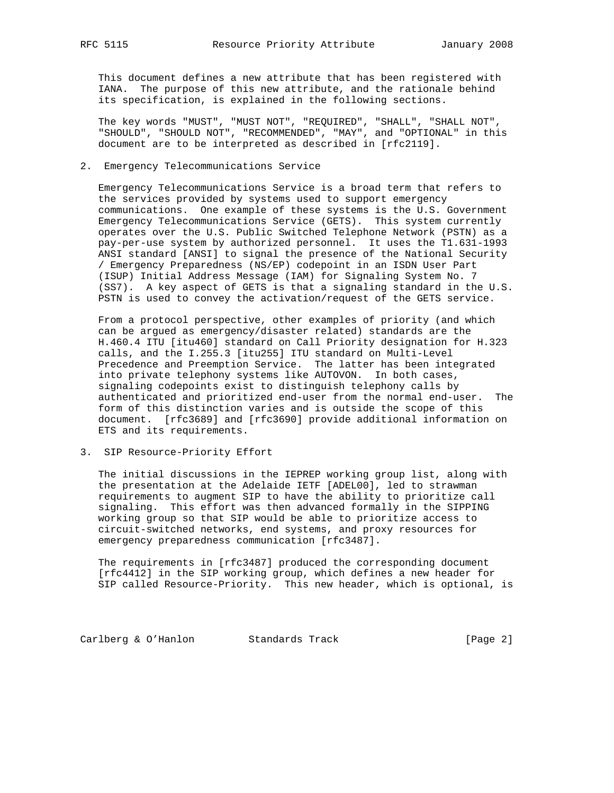This document defines a new attribute that has been registered with IANA. The purpose of this new attribute, and the rationale behind its specification, is explained in the following sections.

 The key words "MUST", "MUST NOT", "REQUIRED", "SHALL", "SHALL NOT", "SHOULD", "SHOULD NOT", "RECOMMENDED", "MAY", and "OPTIONAL" in this document are to be interpreted as described in [rfc2119].

2. Emergency Telecommunications Service

 Emergency Telecommunications Service is a broad term that refers to the services provided by systems used to support emergency communications. One example of these systems is the U.S. Government Emergency Telecommunications Service (GETS). This system currently operates over the U.S. Public Switched Telephone Network (PSTN) as a pay-per-use system by authorized personnel. It uses the T1.631-1993 ANSI standard [ANSI] to signal the presence of the National Security / Emergency Preparedness (NS/EP) codepoint in an ISDN User Part (ISUP) Initial Address Message (IAM) for Signaling System No. 7 (SS7). A key aspect of GETS is that a signaling standard in the U.S. PSTN is used to convey the activation/request of the GETS service.

 From a protocol perspective, other examples of priority (and which can be argued as emergency/disaster related) standards are the H.460.4 ITU [itu460] standard on Call Priority designation for H.323 calls, and the I.255.3 [itu255] ITU standard on Multi-Level Precedence and Preemption Service. The latter has been integrated into private telephony systems like AUTOVON. In both cases, signaling codepoints exist to distinguish telephony calls by authenticated and prioritized end-user from the normal end-user. The form of this distinction varies and is outside the scope of this document. [rfc3689] and [rfc3690] provide additional information on ETS and its requirements.

3. SIP Resource-Priority Effort

 The initial discussions in the IEPREP working group list, along with the presentation at the Adelaide IETF [ADEL00], led to strawman requirements to augment SIP to have the ability to prioritize call signaling. This effort was then advanced formally in the SIPPING working group so that SIP would be able to prioritize access to circuit-switched networks, end systems, and proxy resources for emergency preparedness communication [rfc3487].

 The requirements in [rfc3487] produced the corresponding document [rfc4412] in the SIP working group, which defines a new header for SIP called Resource-Priority. This new header, which is optional, is

Carlberg & O'Hanlon Standards Track [Page 2]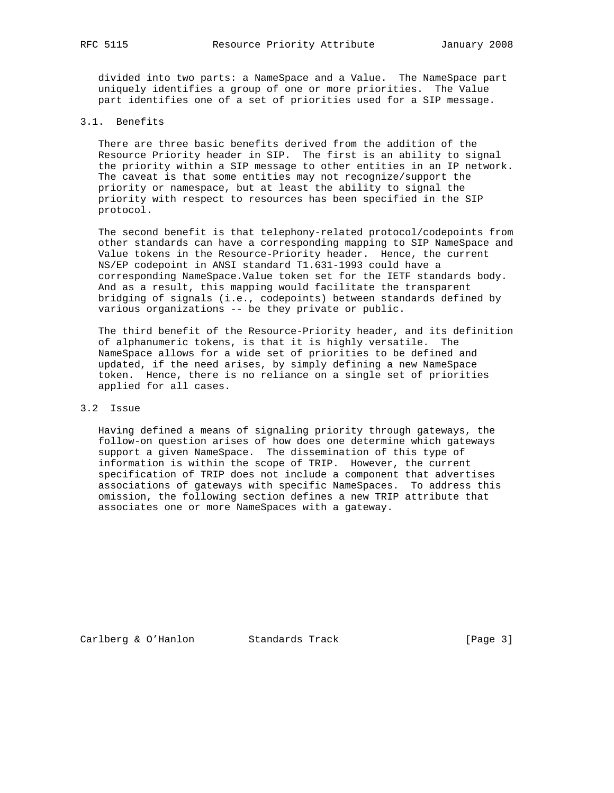divided into two parts: a NameSpace and a Value. The NameSpace part uniquely identifies a group of one or more priorities. The Value part identifies one of a set of priorities used for a SIP message.

# 3.1. Benefits

 There are three basic benefits derived from the addition of the Resource Priority header in SIP. The first is an ability to signal the priority within a SIP message to other entities in an IP network. The caveat is that some entities may not recognize/support the priority or namespace, but at least the ability to signal the priority with respect to resources has been specified in the SIP protocol.

 The second benefit is that telephony-related protocol/codepoints from other standards can have a corresponding mapping to SIP NameSpace and Value tokens in the Resource-Priority header. Hence, the current NS/EP codepoint in ANSI standard T1.631-1993 could have a corresponding NameSpace.Value token set for the IETF standards body. And as a result, this mapping would facilitate the transparent bridging of signals (i.e., codepoints) between standards defined by various organizations -- be they private or public.

 The third benefit of the Resource-Priority header, and its definition of alphanumeric tokens, is that it is highly versatile. The NameSpace allows for a wide set of priorities to be defined and updated, if the need arises, by simply defining a new NameSpace token. Hence, there is no reliance on a single set of priorities applied for all cases.

### 3.2 Issue

 Having defined a means of signaling priority through gateways, the follow-on question arises of how does one determine which gateways support a given NameSpace. The dissemination of this type of information is within the scope of TRIP. However, the current specification of TRIP does not include a component that advertises associations of gateways with specific NameSpaces. To address this omission, the following section defines a new TRIP attribute that associates one or more NameSpaces with a gateway.

Carlberg & O'Hanlon Standards Track [Page 3]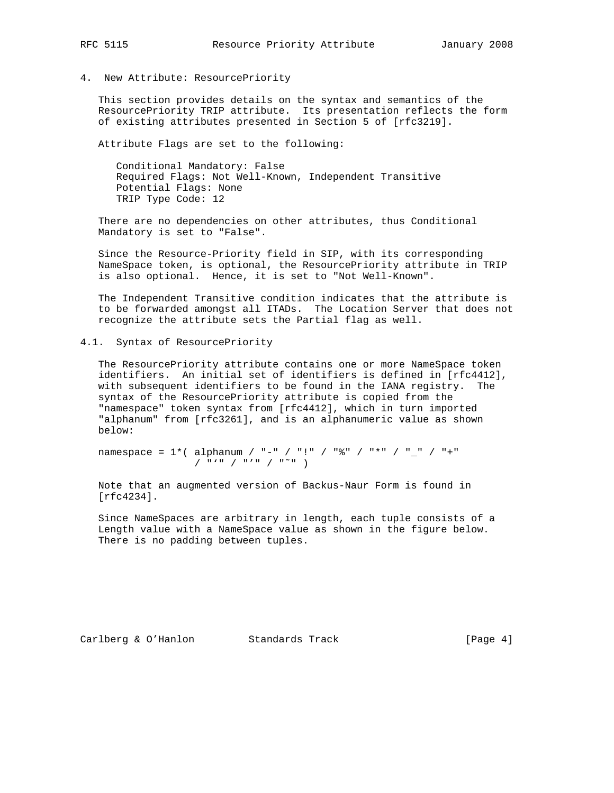4. New Attribute: ResourcePriority

 This section provides details on the syntax and semantics of the ResourcePriority TRIP attribute. Its presentation reflects the form of existing attributes presented in Section 5 of [rfc3219].

Attribute Flags are set to the following:

 Conditional Mandatory: False Required Flags: Not Well-Known, Independent Transitive Potential Flags: None TRIP Type Code: 12

 There are no dependencies on other attributes, thus Conditional Mandatory is set to "False".

 Since the Resource-Priority field in SIP, with its corresponding NameSpace token, is optional, the ResourcePriority attribute in TRIP is also optional. Hence, it is set to "Not Well-Known".

 The Independent Transitive condition indicates that the attribute is to be forwarded amongst all ITADs. The Location Server that does not recognize the attribute sets the Partial flag as well.

### 4.1. Syntax of ResourcePriority

 The ResourcePriority attribute contains one or more NameSpace token identifiers. An initial set of identifiers is defined in [rfc4412], with subsequent identifiers to be found in the IANA registry. The syntax of the ResourcePriority attribute is copied from the "namespace" token syntax from [rfc4412], which in turn imported "alphanum" from [rfc3261], and is an alphanumeric value as shown below:

 namespace = 1\*( alphanum / "-" / "!" / "%" / "\*" / "\_" / "+"  $\frac{1}{\sqrt{2}}$   $\frac{1}{\sqrt{2}}$   $\frac{1}{\sqrt{2}}$   $\frac{1}{\sqrt{2}}$   $\frac{1}{\sqrt{2}}$   $\frac{1}{\sqrt{2}}$   $\frac{1}{\sqrt{2}}$   $\frac{1}{\sqrt{2}}$   $\frac{1}{\sqrt{2}}$   $\frac{1}{\sqrt{2}}$   $\frac{1}{\sqrt{2}}$   $\frac{1}{\sqrt{2}}$   $\frac{1}{\sqrt{2}}$   $\frac{1}{\sqrt{2}}$   $\frac{1}{\sqrt{2}}$   $\frac{1}{\sqrt{2}}$   $\frac{1}{\sqrt{2}}$ 

 Note that an augmented version of Backus-Naur Form is found in [rfc4234].

 Since NameSpaces are arbitrary in length, each tuple consists of a Length value with a NameSpace value as shown in the figure below. There is no padding between tuples.

Carlberg & O'Hanlon Standards Track [Page 4]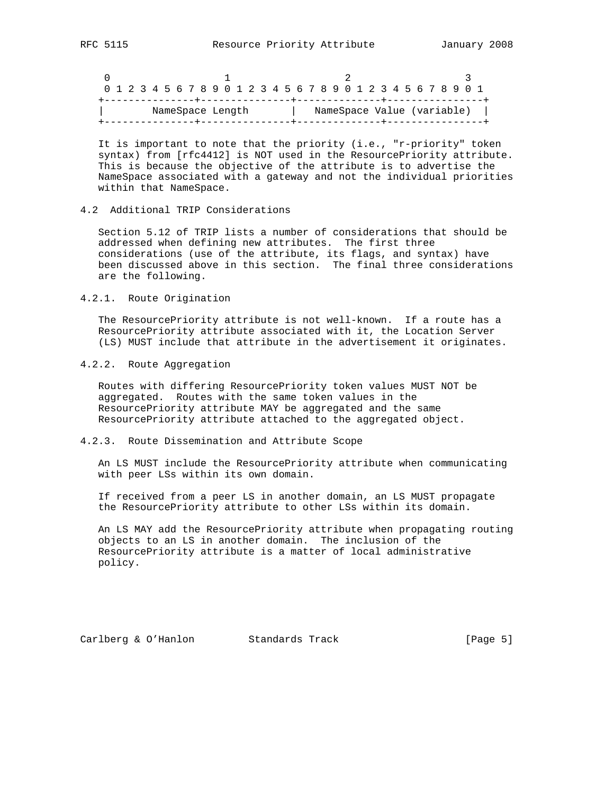|  |  |  |  |                  |  |  |  |  | 0 1 2 3 4 5 6 7 8 9 0 1 2 3 4 5 6 7 8 9 0 1 2 3 4 5 6 7 8 9 0 1 |  |  |  |  |  |  |  |
|--|--|--|--|------------------|--|--|--|--|-----------------------------------------------------------------|--|--|--|--|--|--|--|
|  |  |  |  | NameSpace Length |  |  |  |  | NameSpace Value (variable)                                      |  |  |  |  |  |  |  |
|  |  |  |  |                  |  |  |  |  |                                                                 |  |  |  |  |  |  |  |

 It is important to note that the priority (i.e., "r-priority" token syntax) from [rfc4412] is NOT used in the ResourcePriority attribute. This is because the objective of the attribute is to advertise the NameSpace associated with a gateway and not the individual priorities within that NameSpace.

## 4.2 Additional TRIP Considerations

 Section 5.12 of TRIP lists a number of considerations that should be addressed when defining new attributes. The first three considerations (use of the attribute, its flags, and syntax) have been discussed above in this section. The final three considerations are the following.

#### 4.2.1. Route Origination

 The ResourcePriority attribute is not well-known. If a route has a ResourcePriority attribute associated with it, the Location Server (LS) MUST include that attribute in the advertisement it originates.

### 4.2.2. Route Aggregation

 Routes with differing ResourcePriority token values MUST NOT be aggregated. Routes with the same token values in the ResourcePriority attribute MAY be aggregated and the same ResourcePriority attribute attached to the aggregated object.

### 4.2.3. Route Dissemination and Attribute Scope

 An LS MUST include the ResourcePriority attribute when communicating with peer LSs within its own domain.

 If received from a peer LS in another domain, an LS MUST propagate the ResourcePriority attribute to other LSs within its domain.

 An LS MAY add the ResourcePriority attribute when propagating routing objects to an LS in another domain. The inclusion of the ResourcePriority attribute is a matter of local administrative policy.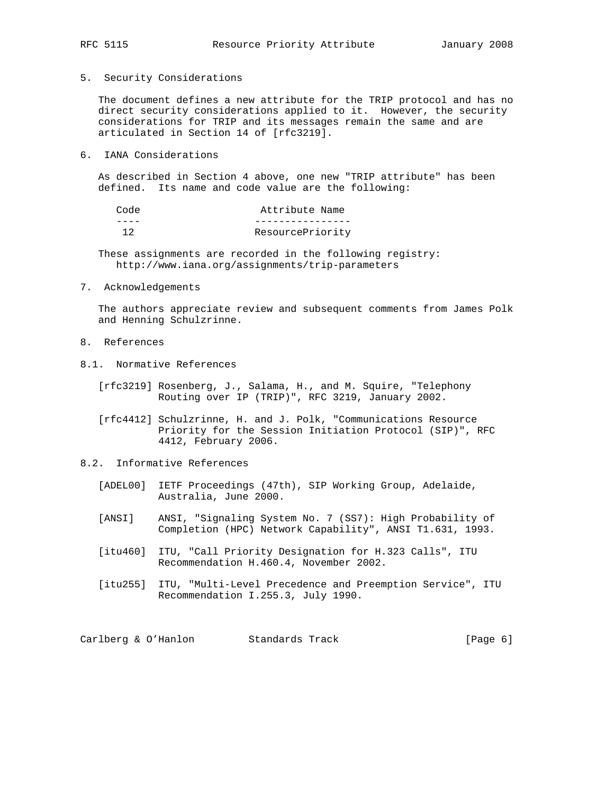- 
- 5. Security Considerations

 The document defines a new attribute for the TRIP protocol and has no direct security considerations applied to it. However, the security considerations for TRIP and its messages remain the same and are articulated in Section 14 of [rfc3219].

6. IANA Considerations

 As described in Section 4 above, one new "TRIP attribute" has been defined. Its name and code value are the following:

| Code | Attribute Name   |
|------|------------------|
|      |                  |
| າ າ  | ResourcePriority |

 These assignments are recorded in the following registry: http://www.iana.org/assignments/trip-parameters

7. Acknowledgements

 The authors appreciate review and subsequent comments from James Polk and Henning Schulzrinne.

- 8. References
- 8.1. Normative References
	- [rfc3219] Rosenberg, J., Salama, H., and M. Squire, "Telephony Routing over IP (TRIP)", RFC 3219, January 2002.

 [rfc4412] Schulzrinne, H. and J. Polk, "Communications Resource Priority for the Session Initiation Protocol (SIP)", RFC 4412, February 2006.

- 8.2. Informative References
	- [ADEL00] IETF Proceedings (47th), SIP Working Group, Adelaide, Australia, June 2000.
	- [ANSI] ANSI, "Signaling System No. 7 (SS7): High Probability of Completion (HPC) Network Capability", ANSI T1.631, 1993.
	- [itu460] ITU, "Call Priority Designation for H.323 Calls", ITU Recommendation H.460.4, November 2002.
	- [itu255] ITU, "Multi-Level Precedence and Preemption Service", ITU Recommendation I.255.3, July 1990.

Carlberg & O'Hanlon Standards Track [Page 6]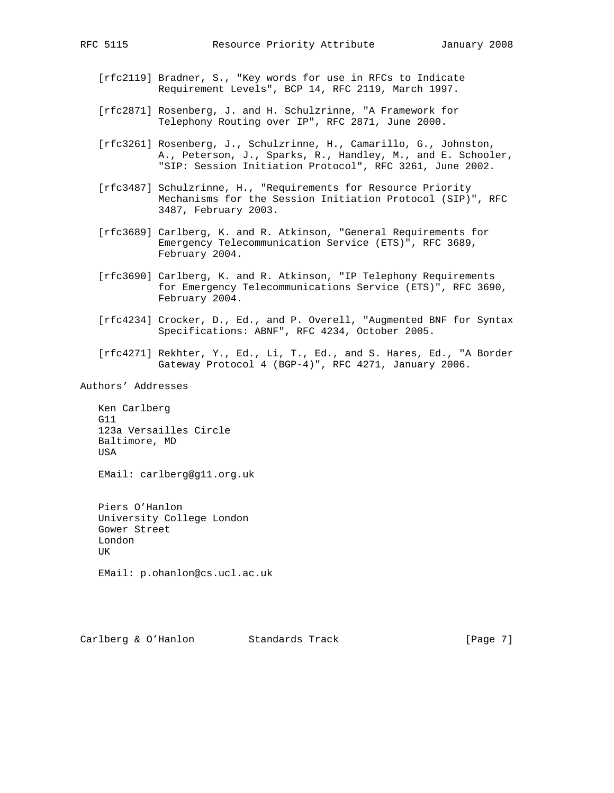- [rfc2119] Bradner, S., "Key words for use in RFCs to Indicate Requirement Levels", BCP 14, RFC 2119, March 1997.
- [rfc2871] Rosenberg, J. and H. Schulzrinne, "A Framework for Telephony Routing over IP", RFC 2871, June 2000.
- [rfc3261] Rosenberg, J., Schulzrinne, H., Camarillo, G., Johnston, A., Peterson, J., Sparks, R., Handley, M., and E. Schooler, "SIP: Session Initiation Protocol", RFC 3261, June 2002.
- [rfc3487] Schulzrinne, H., "Requirements for Resource Priority Mechanisms for the Session Initiation Protocol (SIP)", RFC 3487, February 2003.
- [rfc3689] Carlberg, K. and R. Atkinson, "General Requirements for Emergency Telecommunication Service (ETS)", RFC 3689, February 2004.
- [rfc3690] Carlberg, K. and R. Atkinson, "IP Telephony Requirements for Emergency Telecommunications Service (ETS)", RFC 3690, February 2004.
- [rfc4234] Crocker, D., Ed., and P. Overell, "Augmented BNF for Syntax Specifications: ABNF", RFC 4234, October 2005.
- [rfc4271] Rekhter, Y., Ed., Li, T., Ed., and S. Hares, Ed., "A Border Gateway Protocol 4 (BGP-4)", RFC 4271, January 2006.

Authors' Addresses

 Ken Carlberg G11 123a Versailles Circle Baltimore, MD USA

EMail: carlberg@g11.org.uk

 Piers O'Hanlon University College London Gower Street London UK

EMail: p.ohanlon@cs.ucl.ac.uk

Carlberg & O'Hanlon Standards Track [Page 7]